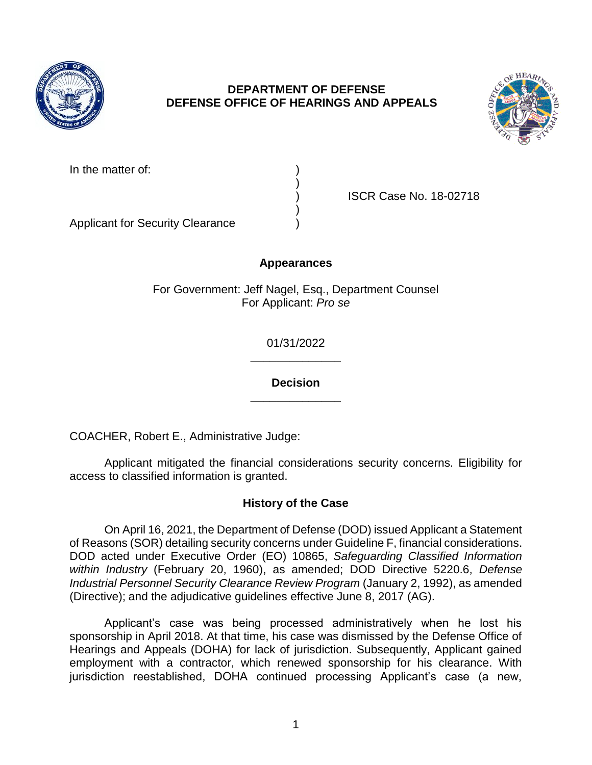

## **DEPARTMENT OF DEFENSE DEFENSE OFFICE OF HEARINGS AND APPEALS**



| In the matter of: |
|-------------------|
|                   |

) ISCR Case No. 18-02718

Applicant for Security Clearance )

# **Appearances**

)

)

For Government: Jeff Nagel, Esq., Department Counsel For Applicant: *Pro se* 

> **\_\_\_\_\_\_\_\_\_\_\_\_\_\_**  01/31/2022

> **\_\_\_\_\_\_\_\_\_\_\_\_\_\_ Decision**

COACHER, Robert E., Administrative Judge:

Applicant mitigated the financial considerations security concerns. Eligibility for access to classified information is granted.

#### **History of the Case**

 On April 16, 2021, the Department of Defense (DOD) issued Applicant a Statement of Reasons (SOR) detailing security concerns under Guideline F, financial considerations. DOD acted under Executive Order (EO) 10865, *Safeguarding Classified Information*  Industrial Personnel Security Clearance Review Program (January 2, 1992), as amended (Directive); and the adjudicative guidelines effective June 8, 2017 (AG). *within Industry* (February 20, 1960), as amended; DOD Directive 5220.6, *Defense* 

 Applicant's case was being processed administratively when he lost his sponsorship in April 2018. At that time, his case was dismissed by the Defense Office of Hearings and Appeals (DOHA) for lack of jurisdiction. Subsequently, Applicant gained employment with a contractor, which renewed sponsorship for his clearance. With jurisdiction reestablished, DOHA continued processing Applicant's case (a new,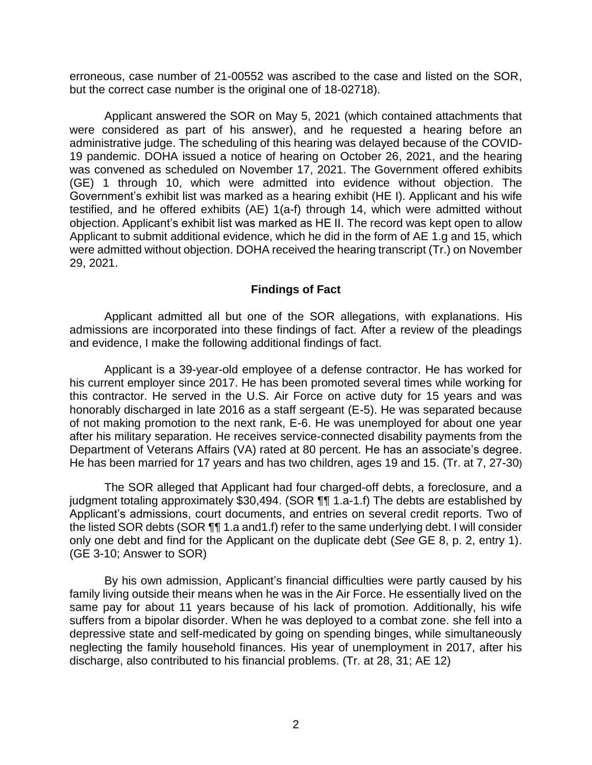erroneous, case number of 21-00552 was ascribed to the case and listed on the SOR, but the correct case number is the original one of 18-02718).

Applicant answered the SOR on May 5, 2021 (which contained attachments that were considered as part of his answer), and he requested a hearing before an administrative judge. The scheduling of this hearing was delayed because of the COVID-19 pandemic. DOHA issued a notice of hearing on October 26, 2021, and the hearing was convened as scheduled on November 17, 2021. The Government offered exhibits (GE) 1 through 10, which were admitted into evidence without objection. The Government's exhibit list was marked as a hearing exhibit (HE I). Applicant and his wife testified, and he offered exhibits (AE) 1(a-f) through 14, which were admitted without objection. Applicant's exhibit list was marked as HE II. The record was kept open to allow Applicant to submit additional evidence, which he did in the form of AE 1.g and 15, which were admitted without objection. DOHA received the hearing transcript (Tr.) on November 29, 2021.

#### **Findings of Fact**

 Applicant admitted all but one of the SOR allegations, with explanations. His admissions are incorporated into these findings of fact. After a review of the pleadings and evidence, I make the following additional findings of fact.

 Applicant is a 39-year-old employee of a defense contractor. He has worked for his current employer since 2017. He has been promoted several times while working for this contractor. He served in the U.S. Air Force on active duty for 15 years and was honorably discharged in late 2016 as a staff sergeant (E-5). He was separated because of not making promotion to the next rank, E-6. He was unemployed for about one year after his military separation. He receives service-connected disability payments from the Department of Veterans Affairs (VA) rated at 80 percent. He has an associate's degree. He has been married for 17 years and has two children, ages 19 and 15. (Tr. at 7, 27-30)

 The SOR alleged that Applicant had four charged-off debts, a foreclosure, and a judgment totaling approximately \$30,494. (SOR ¶¶ 1.a-1.f) The debts are established by Applicant's admissions, court documents, and entries on several credit reports. Two of the listed SOR debts (SOR  $\P\P$ 1.a and1.f) refer to the same underlying debt. I will consider only one debt and find for the Applicant on the duplicate debt (*See* GE 8, p. 2, entry 1). (GE 3-10; Answer to SOR)

 By his own admission, Applicant's financial difficulties were partly caused by his family living outside their means when he was in the Air Force. He essentially lived on the same pay for about 11 years because of his lack of promotion. Additionally, his wife suffers from a bipolar disorder. When he was deployed to a combat zone. she fell into a depressive state and self-medicated by going on spending binges, while simultaneously neglecting the family household finances. His year of unemployment in 2017, after his discharge, also contributed to his financial problems. (Tr. at 28, 31; AE 12)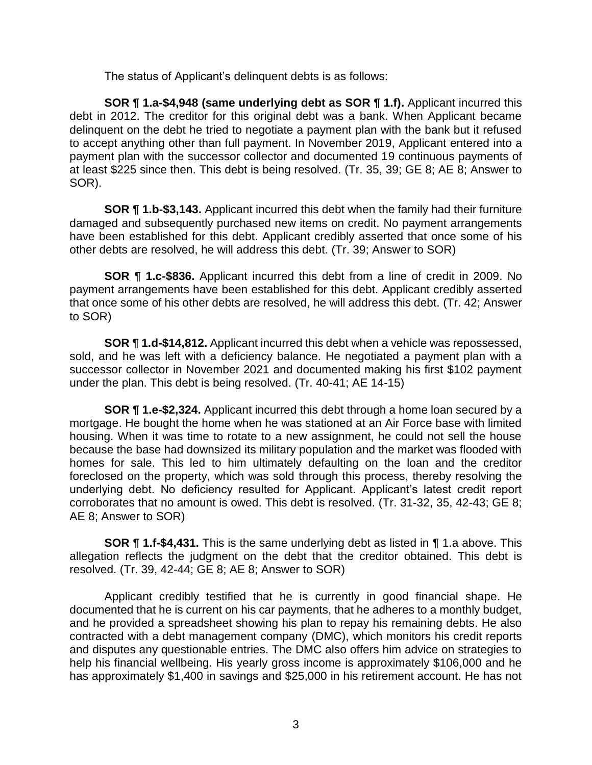The status of Applicant's delinquent debts is as follows:

 **SOR ¶ 1.a-\$4,948 (same underlying debt as SOR ¶ 1.f).** Applicant incurred this delinquent on the debt he tried to negotiate a payment plan with the bank but it refused to accept anything other than full payment. In November 2019, Applicant entered into a payment plan with the successor collector and documented 19 continuous payments of debt in 2012. The creditor for this original debt was a bank. When Applicant became at least \$225 since then. This debt is being resolved. (Tr. 35, 39; GE 8; AE 8; Answer to SOR).

 **SOR ¶ 1.b-\$3,143.** Applicant incurred this debt when the family had their furniture damaged and subsequently purchased new items on credit. No payment arrangements have been established for this debt. Applicant credibly asserted that once some of his other debts are resolved, he will address this debt. (Tr. 39; Answer to SOR)

 **SOR ¶ 1.c-\$836.** Applicant incurred this debt from a line of credit in 2009. No payment arrangements have been established for this debt. Applicant credibly asserted that once some of his other debts are resolved, he will address this debt. (Tr. 42; Answer to SOR)

 **SOR ¶ 1.d-\$14,812.** Applicant incurred this debt when a vehicle was repossessed, sold, and he was left with a deficiency balance. He negotiated a payment plan with a successor collector in November 2021 and documented making his first \$102 payment under the plan. This debt is being resolved. (Tr. 40-41; AE 14-15)

 **SOR ¶ 1.e-\$2,324.** Applicant incurred this debt through a home loan secured by a mortgage. He bought the home when he was stationed at an Air Force base with limited housing. When it was time to rotate to a new assignment, he could not sell the house because the base had downsized its military population and the market was flooded with homes for sale. This led to him ultimately defaulting on the loan and the creditor foreclosed on the property, which was sold through this process, thereby resolving the underlying debt. No deficiency resulted for Applicant. Applicant's latest credit report corroborates that no amount is owed. This debt is resolved. (Tr. 31-32, 35, 42-43; GE 8; AE 8; Answer to SOR)

 **SOR ¶ 1.f-\$4,431.** This is the same underlying debt as listed in ¶ 1.a above. This allegation reflects the judgment on the debt that the creditor obtained. This debt is resolved. (Tr. 39, 42-44; GE 8; AE 8; Answer to SOR)

 Applicant credibly testified that he is currently in good financial shape. He documented that he is current on his car payments, that he adheres to a monthly budget, and he provided a spreadsheet showing his plan to repay his remaining debts. He also contracted with a debt management company (DMC), which monitors his credit reports and disputes any questionable entries. The DMC also offers him advice on strategies to help his financial wellbeing. His yearly gross income is approximately \$106,000 and he has approximately \$1,400 in savings and \$25,000 in his retirement account. He has not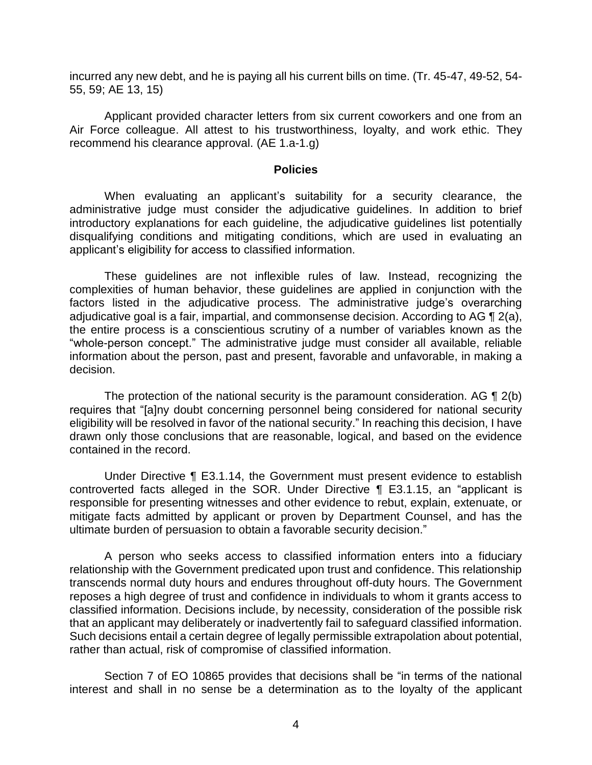incurred any new debt, and he is paying all his current bills on time. (Tr. 45-47, 49-52, 54- 55, 59; AE 13, 15)

 Applicant provided character letters from six current coworkers and one from an Air Force colleague. All attest to his trustworthiness, loyalty, and work ethic. They recommend his clearance approval. (AE 1.a-1.g)

#### **Policies**

 When evaluating an applicant's suitability for a security clearance, the administrative judge must consider the adjudicative guidelines. In addition to brief introductory explanations for each guideline, the adjudicative guidelines list potentially disqualifying conditions and mitigating conditions, which are used in evaluating an applicant's eligibility for access to classified information.

 These guidelines are not inflexible rules of law. Instead, recognizing the complexities of human behavior, these guidelines are applied in conjunction with the factors listed in the adjudicative process. The administrative judge's overarching adjudicative goal is a fair, impartial, and commonsense decision. According to AG ¶ 2(a), the entire process is a conscientious scrutiny of a number of variables known as the "whole-person concept." The administrative judge must consider all available, reliable information about the person, past and present, favorable and unfavorable, in making a decision.

The protection of the national security is the paramount consideration. AG  $\P$  2(b) eligibility will be resolved in favor of the national security." In reaching this decision, I have drawn only those conclusions that are reasonable, logical, and based on the evidence requires that "[a]ny doubt concerning personnel being considered for national security contained in the record.

 Under Directive ¶ E3.1.14, the Government must present evidence to establish responsible for presenting witnesses and other evidence to rebut, explain, extenuate, or mitigate facts admitted by applicant or proven by Department Counsel, and has the controverted facts alleged in the SOR. Under Directive ¶ E3.1.15, an "applicant is ultimate burden of persuasion to obtain a favorable security decision."

 A person who seeks access to classified information enters into a fiduciary relationship with the Government predicated upon trust and confidence. This relationship transcends normal duty hours and endures throughout off-duty hours. The Government reposes a high degree of trust and confidence in individuals to whom it grants access to classified information. Decisions include, by necessity, consideration of the possible risk that an applicant may deliberately or inadvertently fail to safeguard classified information. Such decisions entail a certain degree of legally permissible extrapolation about potential, rather than actual, risk of compromise of classified information.

 Section 7 of EO 10865 provides that decisions shall be "in terms of the national interest and shall in no sense be a determination as to the loyalty of the applicant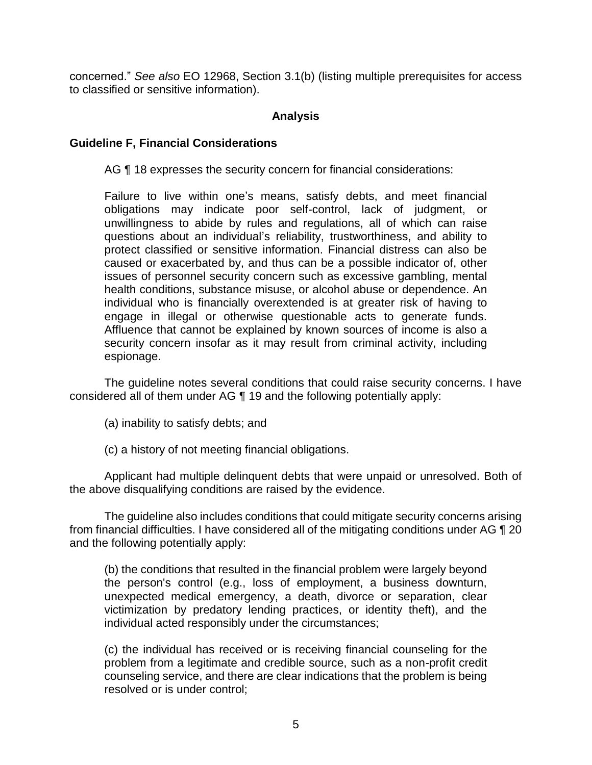concerned." *See also* EO 12968, Section 3.1(b) (listing multiple prerequisites for access to classified or sensitive information).

### **Analysis**

### **Guideline F, Financial Considerations**

AG  $\P$  18 expresses the security concern for financial considerations:

 Failure to live within one's means, satisfy debts, and meet financial obligations may indicate poor self-control, lack of judgment, or unwillingness to abide by rules and regulations, all of which can raise questions about an individual's reliability, trustworthiness, and ability to protect classified or sensitive information. Financial distress can also be caused or exacerbated by, and thus can be a possible indicator of, other issues of personnel security concern such as excessive gambling, mental engage in illegal or otherwise questionable acts to generate funds. Affluence that cannot be explained by known sources of income is also a health conditions, substance misuse, or alcohol abuse or dependence. An individual who is financially overextended is at greater risk of having to security concern insofar as it may result from criminal activity, including espionage.

 The guideline notes several conditions that could raise security concerns. I have considered all of them under AG ¶ 19 and the following potentially apply:

- (a) inability to satisfy debts; and
- (c) a history of not meeting financial obligations.

 Applicant had multiple delinquent debts that were unpaid or unresolved. Both of the above disqualifying conditions are raised by the evidence.

 The guideline also includes conditions that could mitigate security concerns arising from financial difficulties. I have considered all of the mitigating conditions under AG ¶ 20 and the following potentially apply:

 (b) the conditions that resulted in the financial problem were largely beyond the person's control (e.g., loss of employment, a business downturn, unexpected medical emergency, a death, divorce or separation, clear victimization by predatory lending practices, or identity theft), and the individual acted responsibly under the circumstances;

 (c) the individual has received or is receiving financial counseling for the problem from a legitimate and credible source, such as a non-profit credit counseling service, and there are clear indications that the problem is being resolved or is under control;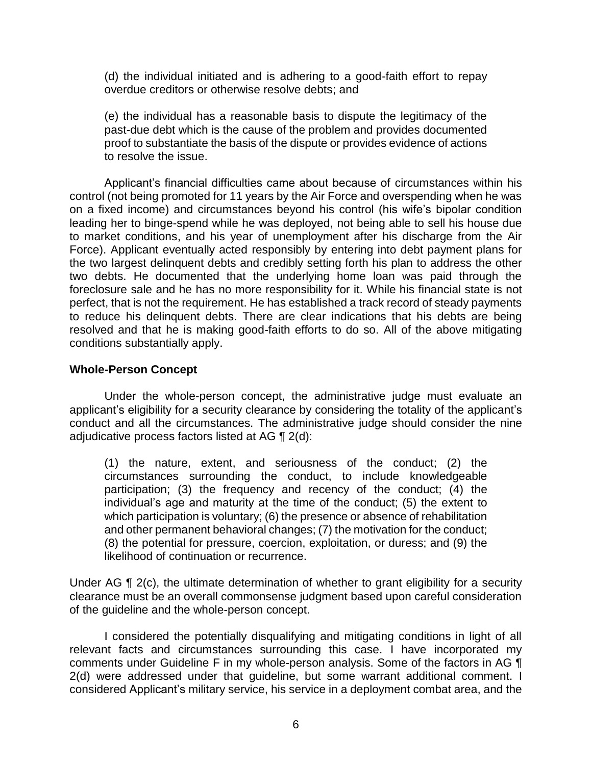(d) the individual initiated and is adhering to a good-faith effort to repay overdue creditors or otherwise resolve debts: and

overdue creditors or otherwise resolve debts; and<br>(e) the individual has a reasonable basis to dispute the legitimacy of the proof to substantiate the basis of the dispute or provides evidence of actions past-due debt which is the cause of the problem and provides documented to resolve the issue.

 Applicant's financial difficulties came about because of circumstances within his control (not being promoted for 11 years by the Air Force and overspending when he was on a fixed income) and circumstances beyond his control (his wife's bipolar condition leading her to binge-spend while he was deployed, not being able to sell his house due to market conditions, and his year of unemployment after his discharge from the Air Force). Applicant eventually acted responsibly by entering into debt payment plans for the two largest delinquent debts and credibly setting forth his plan to address the other two debts. He documented that the underlying home loan was paid through the foreclosure sale and he has no more responsibility for it. While his financial state is not perfect, that is not the requirement. He has established a track record of steady payments to reduce his delinquent debts. There are clear indications that his debts are being resolved and that he is making good-faith efforts to do so. All of the above mitigating conditions substantially apply.

#### **Whole-Person Concept**

 Under the whole-person concept, the administrative judge must evaluate an applicant's eligibility for a security clearance by considering the totality of the applicant's conduct and all the circumstances. The administrative judge should consider the nine adjudicative process factors listed at AG  $\P$  2(d):

(1) the nature, extent, and seriousness of the conduct; (2) the circumstances surrounding the conduct, to include knowledgeable participation; (3) the frequency and recency of the conduct; (4) the individual's age and maturity at the time of the conduct; (5) the extent to which participation is voluntary; (6) the presence or absence of rehabilitation and other permanent behavioral changes; (7) the motivation for the conduct; (8) the potential for pressure, coercion, exploitation, or duress; and (9) the likelihood of continuation or recurrence.

Under AG ¶ 2(c), the ultimate determination of whether to grant eligibility for a security clearance must be an overall commonsense judgment based upon careful consideration of the guideline and the whole-person concept.

 I considered the potentially disqualifying and mitigating conditions in light of all relevant facts and circumstances surrounding this case. I have incorporated my comments under Guideline F in my whole-person analysis. Some of the factors in AG ¶ 2(d) were addressed under that guideline, but some warrant additional comment. I considered Applicant's military service, his service in a deployment combat area, and the